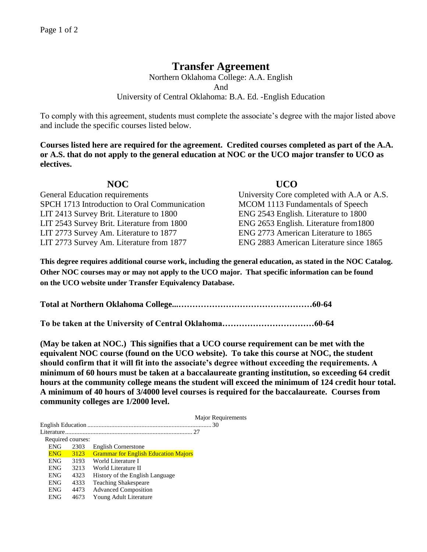## **Transfer Agreement**

Northern Oklahoma College: A.A. English And University of Central Oklahoma: B.A. Ed. -English Education

To comply with this agreement, students must complete the associate's degree with the major listed above and include the specific courses listed below.

**Courses listed here are required for the agreement. Credited courses completed as part of the A.A. or A.S. that do not apply to the general education at NOC or the UCO major transfer to UCO as electives.**

| NOC.                                         | <b>UCO</b>                                 |
|----------------------------------------------|--------------------------------------------|
| <b>General Education requirements</b>        | University Core completed with A.A or A.S. |
| SPCH 1713 Introduction to Oral Communication | MCOM 1113 Fundamentals of Speech           |
| LIT 2413 Survey Brit. Literature to 1800     | ENG 2543 English. Literature to 1800       |
| LIT 2543 Survey Brit. Literature from 1800   | ENG 2653 English. Literature from 1800     |
| LIT 2773 Survey Am. Literature to 1877       | ENG 2773 American Literature to 1865       |
| LIT 2773 Survey Am. Literature from 1877     | ENG 2883 American Literature since 1865    |

**This degree requires additional course work, including the general education, as stated in the NOC Catalog. Other NOC courses may or may not apply to the UCO major. That specific information can be found on the UCO website under Transfer Equivalency Database.**

**Total at Northern Oklahoma College...…………………………………………60-64**

**To be taken at the University of Central Oklahoma……………………………60-64**

**(May be taken at NOC.) This signifies that a UCO course requirement can be met with the equivalent NOC course (found on the UCO website). To take this course at NOC, the student should confirm that it will fit into the associate's degree without exceeding the requirements. A minimum of 60 hours must be taken at a baccalaureate granting institution, so exceeding 64 credit hours at the community college means the student will exceed the minimum of 124 credit hour total. A minimum of 40 hours of 3/4000 level courses is required for the baccalaureate. Courses from community colleges are 1/2000 level.**

|                   |            |      |                                             | Major Requirements |  |  |  |
|-------------------|------------|------|---------------------------------------------|--------------------|--|--|--|
|                   |            |      |                                             |                    |  |  |  |
|                   |            |      |                                             |                    |  |  |  |
| Required courses: |            |      |                                             |                    |  |  |  |
|                   | <b>ENG</b> | 2303 | English Cornerstone                         |                    |  |  |  |
|                   | <b>ENG</b> | 3123 | <b>Grammar for English Education Majors</b> |                    |  |  |  |
|                   | <b>ENG</b> | 3193 | World Literature I                          |                    |  |  |  |
|                   | <b>ENG</b> | 3213 | World Literature II                         |                    |  |  |  |
|                   | <b>ENG</b> | 4323 | History of the English Language             |                    |  |  |  |
|                   | <b>ENG</b> | 4333 | <b>Teaching Shakespeare</b>                 |                    |  |  |  |
|                   | <b>ENG</b> | 4473 | <b>Advanced Composition</b>                 |                    |  |  |  |
|                   | ENG        | 4673 | Young Adult Literature                      |                    |  |  |  |